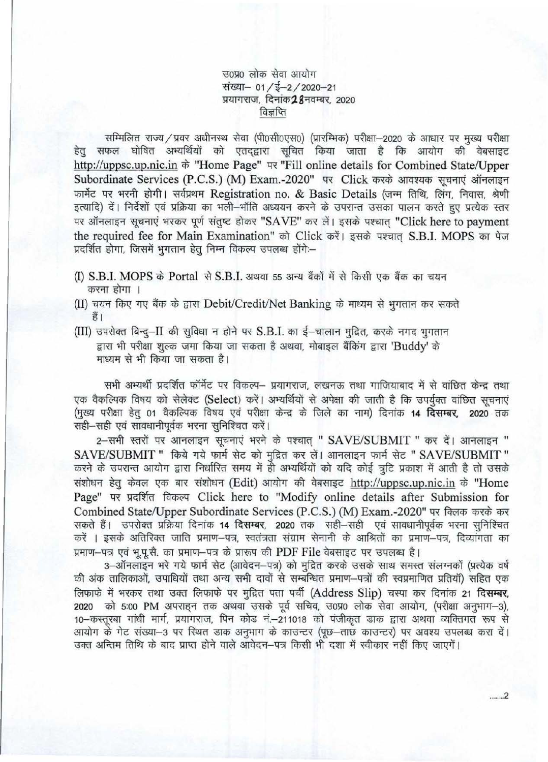उ०प्र० लोक सेवा आयोग संख्या- 01 /ई-2 / 2020-21 -<br>संख्या– 01 / ई–2 / 2020–21<br>प्रयागराज, दिनांक**28**नवम्बर, 2020 , दिनांक**28**नव<br><u>विज्ञप्ति</u>

सम्मिलित राज्य / प्रवर अधीनस्थ सेवा (पी0सी0एस0) (प्रारम्भिक) परीक्षा-2020 के आधार पर मुख्य परीक्षा हेतु सफल घोषित अभ्यर्थियों को एतद्द्वारा सूचित किया जाता है कि आयोग की वेबसाइट http://uppsc.up.nic.in के "Home Page" पर "Fill online details for Combined State/Upper Subordinate Services (P.C.S.) (M) Exam.-2020" पर Click करके आवश्यक सूचनाएं ऑनलाइन फार्मेट पर भरनी होगी। सर्वप्रथम Registration no. & Basic Details (जन्म तिथि, लिंग, निवास, श्रेणी इत्यादि) दें। निर्देशों एवं प्रक्रिया का भली-भॉति अध्ययन करने के उपरान्त उसका पालन करते हुए प्रत्येक स्तर पर ऑनलाइन सूचनाएं भरकर पूर्ण संतुष्ट होकर "SAVE" कर लें। इसके पश्चात "Click here to payment the required fee for Main Examination" को Click करें। इसके पश्चात S.B.I. MOPS का पेज प्रदर्शित होगा, जिसमें भुगतान हेतु निम्न विकल्प उपलब्ध होंगे:--

- (I) S.B.I. MOPS के Portal से S.B.I. अथवा 55 अन्य बैंकों में से किसी एक बैंक का चयन करना होगा ।
- (II) चयन किए गए बैंक के द्वारा Debit/Credit/Net Banking के माध्यम से भूगतान कर सकते  $\frac{2}{5}$
- $(III)$  उपरोक्त बिन्दु-II की सुविधा न होने पर S.B.I. का ई-चालान मुद्रित, करके नगद भुगतान द्वारा भी परीक्षा शुल्क जमा किया जा सकता है अथवा, मोबाइल बैंकिंग द्वारा 'Buddy' के माध्यम से भी किया जा सकता है।

सभी अभ्यर्थी प्रदर्शित फॉर्मेट पर विकल्प– प्रयागराज, लखनऊ तथा गाजियाबाद में से वांछित केन्द्र तथा एक वैकल्पिक विषय को सेलेक्ट (Select) करें। अभ्यर्थियों से अपेक्षा की जाती है कि उपर्युक्त वांछित सूचनाएं एक वैकल्पिक विषय को सेलेक्ट (Select) करें। अभ्यर्थियों से अपेक्षा की जाती है कि उपर्युक्त वांछित सूचनाएं<br>(मुख्य परीक्षा हेतु 01 वैकल्पिक विषय एवं परीक्षा केन्द्र के जिले का नाम) दिनांक **14 दिसम्बर, 2020** तक एक वैकल्पिक विषय को सेलेक्ट (Select) करें।<br>(मुख्य परीक्षा हेतु 01 वैकल्पिक विषय एवं परीक्षा<br>सही—सही एवं सावधानीपूर्वक भरना सुनिश्चित करें।<br>- - - - गणी उन्हों एवं अपनुसारन सुनिश्चित करें।

सही—सही एवं सावधानीपूर्वक भरना सुनिश्चित करें।<br>2—सभी स्तरों पर आनलाइन सूचनाएं भरने के पश्चात् " SAVE/SUBMIT " कर दें। आनलाइन " SAVE/SUBMIT " किये गये फार्म सेट को मुद्रित कर लें। आनलाइन फार्म सेट " SAVE/SUBMIT " SAVE/SUBMIT " किये गये फार्म सेट को मुद्रित कर लें। आनलाइन फार्म सेट " SAVE/SUBMIT "<br>करने के उपरान्त आयोग द्वारा निर्धारित समय में ही अभ्यर्थियों को यदि कोई त्रुटि प्रकाश में आती है तो उसके करने के उपरान्त आयोग द्वारा निर्धारित समय में ही अभ्यर्थियों को यदि कोई त्रुटि प्रकाश में आती है तो उसके<br>संशोधन हेतु केवल एक बार संशोधन (Edit) आयोग की वेबसाइट <u>http://uppsc.up.nic.in</u> के "Home Page" पर प्रदर्शित विकल्प Click here to "Modify online details after Submission for<br>Combined State/Upper Subordinate Services (P.C.S.) (M) Exam.-2020" पर विलक करके कर<br>सकते हैं। उपरोक्त प्रक्रिया दिनांक 14 दिसम्बर, 2020 तक Combined State/Upper Subordinate Services (P.C.S.) (M) Exam.-2020" पर क्लिक करके कर सकते हैं। उपरोक्त प्रक्रिया दिनांक 14 **दिसम्बर, 2020** तक सही—सही एवं सावधानीपूर्वक भरना सुनिश्चित<br>करें । इसके अतिरिक्त जाति प्रमाण—पत्र, स्वतंत्रता संग्राम सेनानी के आश्रितों का प्रमाण—पत्र, दिव्यांगता का प्रमाण-पत्र एवं भू.पू.सै. का प्रमाण-पत्र के प्रारूप की PDF File वेबसाइट पर उपलब्ध है।

3-ऑनलाइन भरे गये फार्म सेट (आवेदन-पत्र) को मुद्रित करके उसके साथ समस्त संलग्नकों (प्रत्येक वर्ष की अंक तालिकाओं, उपाधियों तथा अन्य सभी दावों से सम्बन्धित प्रमाण-पत्रों की स्वप्रमाणित प्रतियों) सहित एक का अक तालिकाओ, उपाधिया तथा अन्य सभा दावा स सम्बन्धित प्रमाण—पत्रा का स्वप्रमाणित प्रातया) साहत एक<br>लिफाफे में भरकर तथा उक्त लिफाफे पर मुद्रित पता पर्ची (Address Slip) चस्पा कर दिनांक 21 **दिसम्बर,** लिफाफे में भरकर तथा उक्त लिफाफे पर मुद्रित पता पर्ची (Address Slip) चस्पा कर दिनांक 21 **दिसम्बर,**<br>2020 को 5:00 PM अपराहन तक अथवा उसके पूर्व सचिव, उ0प्र0 लोक सेवा आयोग, (परीक्षा अनुभाग–3), 2020 को 5:00 PM अपराह्न तक अथवा उसके पूर्व सचिव, उ0प्र0 लोक सेवा आयोग, (परीक्षा अनुभाग–3),<br>10–कस्तुरबा गांधी मार्ग, प्रयागराज, पिन कोड नं.–211018 को पंजीकृत डाक द्वारा अथवा व्यक्तिगत रूप से आयोग के गेट संख्या-3 पर स्थित डाक अनुभाग के काउन्टर (पूछ-ताछ काउन्टर) पर अवश्य उपलब्ध करा दें। उक्त अन्तिम तिथि के बाद प्राप्त होने वाले आवेदन-पत्र किसी भी दशा में स्वीकार नहीं किए जाएगें।

....... 2